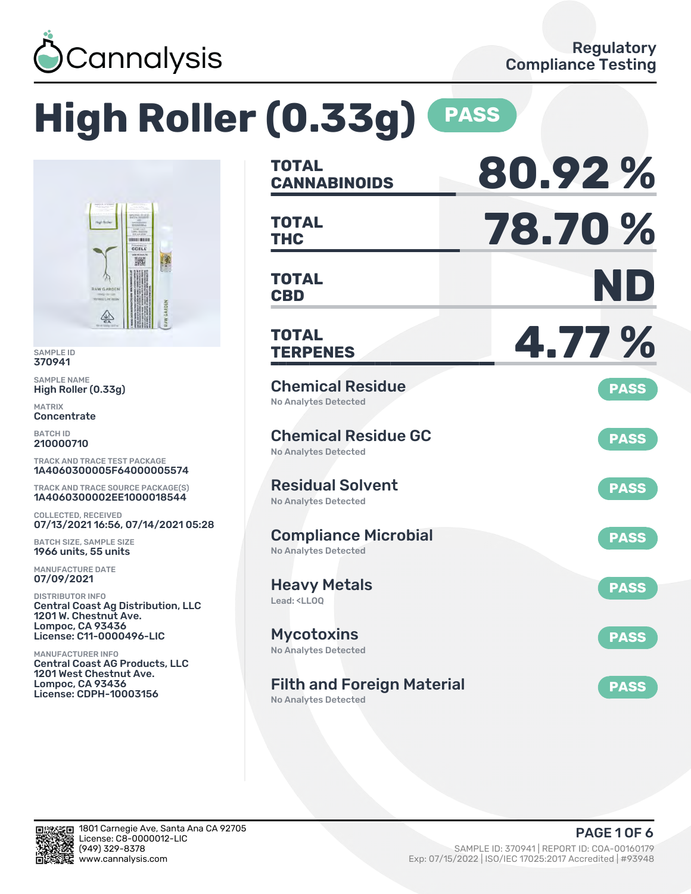

# **High Roller (0.33g) PASS**



SAMPLE ID 370941

SAMPLE NAME High Roller (0.33g)

MATRIX **Concentrate** 

BATCH ID 210000710

TRACK AND TRACE TEST PACKAGE 1A4060300005F64000005574

TRACK AND TRACE SOURCE PACKAGE(S) 1A4060300002EE1000018544

COLLECTED, RECEIVED 07/13/2021 16:56, 07/14/2021 05:28

BATCH SIZE, SAMPLE SIZE 1966 units, 55 units

MANUFACTURE DATE 07/09/2021

DISTRIBUTOR INFO Central Coast Ag Distribution, LLC 1201 W. Chestnut Ave. Lompoc, CA 93436 License: C11-0000496-LIC

MANUFACTURER INFO Central Coast AG Products, LLC 1201 West Chestnut Ave. Lompoc, CA 93436 License: CDPH-10003156

| <b>TOTAL</b><br><b>CANNABINOIDS</b>                                    | 80.92%      |
|------------------------------------------------------------------------|-------------|
| <b>TOTAL</b><br>THC                                                    | 78.70 %     |
| <b>TOTAL</b><br><b>CBD</b>                                             | ND          |
| <b>TOTAL</b><br><b>TERPENES</b>                                        | 4.77 %      |
| <b>Chemical Residue</b><br><b>No Analytes Detected</b>                 | <b>PASS</b> |
| <b>Chemical Residue GC</b><br><b>No Analytes Detected</b>              | <b>PASS</b> |
| <b>Residual Solvent</b><br><b>No Analytes Detected</b>                 | <b>PASS</b> |
| <b>Compliance Microbial</b><br><b>No Analytes Detected</b>             | <b>PASS</b> |
| <b>Heavy Metals</b><br>Lead: <ll00< td=""><td><b>PASS</b></td></ll00<> | <b>PASS</b> |
| <b>Mycotoxins</b><br><b>No Analytes Detected</b>                       | <b>PASS</b> |
| <b>Filth and Foreign Material</b><br>No Analytes Detected              | <b>PASS</b> |

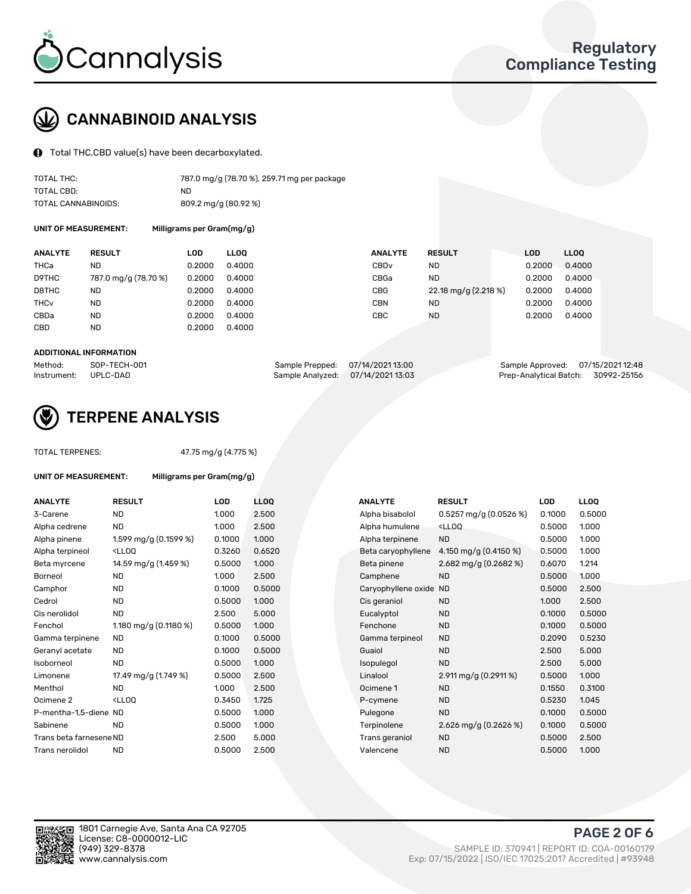

# CANNABINOID ANALYSIS

Total THC,CBD value(s) have been decarboxylated.

| TOTAL THC:          | 787.0 mg/g (78.70 %), 259.71 mg per package |
|---------------------|---------------------------------------------|
| TOTAL CBD:          | ND                                          |
| TOTAL CANNABINOIDS: | 809.2 mg/g (80.92 %)                        |

UNIT OF MEASUREMENT: Milligrams per Gram(mg/g)

| <b>RESULT</b>        |                                                                 |                                                               |                | LOD                                   | LL <sub>00</sub> |
|----------------------|-----------------------------------------------------------------|---------------------------------------------------------------|----------------|---------------------------------------|------------------|
| ND                   | 0.4000                                                          | CBD <sub>v</sub>                                              | ND             | 0.2000                                | 0.4000           |
| 787.0 mg/g (78.70 %) |                                                                 | CBGa                                                          | <b>ND</b>      | 0.2000                                | 0.4000           |
| ND                   |                                                                 | <b>CBG</b>                                                    |                | 0.2000                                | 0.4000           |
| ND                   |                                                                 | <b>CBN</b>                                                    | ND             | 0.2000                                | 0.4000           |
| <b>ND</b>            |                                                                 | CBC                                                           | <b>ND</b>      | 0.2000                                | 0.4000           |
| ND                   |                                                                 |                                                               |                |                                       |                  |
|                      | LOD<br>0.2000<br>0.2000<br>0.2000<br>0.2000<br>0.2000<br>0.2000 | <b>LLOO</b><br>0.4000<br>0.4000<br>0.4000<br>0.4000<br>0.4000 | <b>ANALYTE</b> | <b>RESULT</b><br>22.18 mg/g (2.218 %) |                  |

#### ADDITIONAL INFORMATION

| Method:              | SOP-TECH-001 | Sample Prepped: 07/14/2021 13:00 |                                   | Sample Approved: 07/15/2021 12:48  |  |
|----------------------|--------------|----------------------------------|-----------------------------------|------------------------------------|--|
| Instrument: UPLC-DAD |              |                                  | Sample Analyzed: 07/14/2021 13:03 | Prep-Analytical Batch: 30992-25156 |  |



## TERPENE ANALYSIS

UNIT OF MEASUREMENT: Milligrams per Gram(mg/g)

| TUTAL TERPENES: |  |
|-----------------|--|
|                 |  |
|                 |  |

TOTAL TERPENES: 47.75 mg/g (4.775 %)

| <b>ANALYTE</b>          | <b>RESULT</b>                                                                                                                             | <b>LOD</b> | <b>LLOQ</b> | <b>ANALYTE</b>         | <b>RESULT</b>                                      | <b>LOD</b> | <b>LLOO</b> |
|-------------------------|-------------------------------------------------------------------------------------------------------------------------------------------|------------|-------------|------------------------|----------------------------------------------------|------------|-------------|
| 3-Carene                | <b>ND</b>                                                                                                                                 | 1.000      | 2.500       | Alpha bisabolol        | $0.5257$ mg/g (0.0526 %)                           | 0.1000     | 0.5000      |
| Alpha cedrene           | <b>ND</b>                                                                                                                                 | 1.000      | 2.500       | Alpha humulene         | <lloq< td=""><td>0.5000</td><td>1.000</td></lloq<> | 0.5000     | 1.000       |
| Alpha pinene            | 1.599 mg/g (0.1599 %)                                                                                                                     | 0.1000     | 1.000       | Alpha terpinene        | <b>ND</b>                                          | 0.5000     | 1.000       |
| Alpha terpineol         | <lloq< td=""><td>0.3260</td><td>0.6520</td><td>Beta caryophyllene</td><td>4.150 mg/g (0.4150 %)</td><td>0.5000</td><td>1.000</td></lloq<> | 0.3260     | 0.6520      | Beta caryophyllene     | 4.150 mg/g (0.4150 %)                              | 0.5000     | 1.000       |
| Beta myrcene            | 14.59 mg/g (1.459 %)                                                                                                                      | 0.5000     | 1.000       | Beta pinene            | 2.682 mg/g (0.2682 %)                              | 0.6070     | 1.214       |
| Borneol                 | <b>ND</b>                                                                                                                                 | 1.000      | 2.500       | Camphene               | <b>ND</b>                                          | 0.5000     | 1.000       |
| Camphor                 | <b>ND</b>                                                                                                                                 | 0.1000     | 0.5000      | Caryophyllene oxide ND |                                                    | 0.5000     | 2.500       |
| Cedrol                  | <b>ND</b>                                                                                                                                 | 0.5000     | 1.000       | Cis geraniol           | <b>ND</b>                                          | 1.000      | 2.500       |
| Cis nerolidol           | <b>ND</b>                                                                                                                                 | 2.500      | 5.000       | Eucalyptol             | <b>ND</b>                                          | 0.1000     | 0.5000      |
| Fenchol                 | 1.180 mg/g (0.1180 %)                                                                                                                     | 0.5000     | 1.000       | Fenchone               | <b>ND</b>                                          | 0.1000     | 0.5000      |
| Gamma terpinene         | <b>ND</b>                                                                                                                                 | 0.1000     | 0.5000      | Gamma terpineol        | <b>ND</b>                                          | 0.2090     | 0.5230      |
| Geranyl acetate         | <b>ND</b>                                                                                                                                 | 0.1000     | 0.5000      | Guaiol                 | <b>ND</b>                                          | 2.500      | 5.000       |
| Isoborneol              | <b>ND</b>                                                                                                                                 | 0.5000     | 1.000       | Isopulegol             | <b>ND</b>                                          | 2.500      | 5.000       |
| Limonene                | 17.49 mg/g (1.749 %)                                                                                                                      | 0.5000     | 2.500       | Linalool               | 2.911 mg/g $(0.2911\%)$                            | 0.5000     | 1.000       |
| Menthol                 | <b>ND</b>                                                                                                                                 | 1.000      | 2.500       | Ocimene 1              | <b>ND</b>                                          | 0.1550     | 0.3100      |
| Ocimene 2               | <ll0q< td=""><td>0.3450</td><td>1.725</td><td>P-cymene</td><td><b>ND</b></td><td>0.5230</td><td>1.045</td></ll0q<>                        | 0.3450     | 1.725       | P-cymene               | <b>ND</b>                                          | 0.5230     | 1.045       |
| P-mentha-1,5-diene ND   |                                                                                                                                           | 0.5000     | 1.000       | Pulegone               | <b>ND</b>                                          | 0.1000     | 0.5000      |
| Sabinene                | <b>ND</b>                                                                                                                                 | 0.5000     | 1.000       | Terpinolene            | 2.626 mg/g $(0.2626\%)$                            | 0.1000     | 0.5000      |
| Trans beta farnesene ND |                                                                                                                                           | 2.500      | 5.000       | Trans geraniol         | <b>ND</b>                                          | 0.5000     | 2.500       |
| Trans nerolidol         | <b>ND</b>                                                                                                                                 | 0.5000     | 2.500       | Valencene              | <b>ND</b>                                          | 0.5000     | 1.000       |

| <b>VALYTE</b>         | <b>RESULT</b>                                      | LOD    | LL <sub>OO</sub> |
|-----------------------|----------------------------------------------------|--------|------------------|
| pha bisabolol         | $0.5257$ mg/g (0.0526 %)                           | 0.1000 | 0.5000           |
| pha humulene          | <lloq< td=""><td>0.5000</td><td>1.000</td></lloq<> | 0.5000 | 1.000            |
| pha terpinene         | <b>ND</b>                                          | 0.5000 | 1.000            |
| eta caryophyllene     | 4.150 mg/g $(0.4150\%)$                            | 0.5000 | 1.000            |
| eta pinene            | 2.682 mg/g $(0.2682\%)$                            | 0.6070 | 1.214            |
| amphene               | <b>ND</b>                                          | 0.5000 | 1.000            |
| aryophyllene oxide ND |                                                    | 0.5000 | 2.500            |
| s geraniol            | <b>ND</b>                                          | 1.000  | 2.500            |
| ucalyptol             | <b>ND</b>                                          | 0.1000 | 0.5000           |
| enchone               | <b>ND</b>                                          | 0.1000 | 0.5000           |
| amma terpineol        | <b>ND</b>                                          | 0.2090 | 0.5230           |
| uaiol                 | <b>ND</b>                                          | 2.500  | 5.000            |
| opulegol              | <b>ND</b>                                          | 2.500  | 5.000            |
| nalool                | 2.911 mg/g $(0.2911\%)$                            | 0.5000 | 1.000            |
| cimene 1              | <b>ND</b>                                          | 0.1550 | 0.3100           |
| -cymene               | <b>ND</b>                                          | 0.5230 | 1.045            |
| ulegone               | <b>ND</b>                                          | 0.1000 | 0.5000           |
| erpinolene            | 2.626 mg/g $(0.2626\%)$                            | 0.1000 | 0.5000           |
| ans geraniol          | <b>ND</b>                                          | 0.5000 | 2.500            |
| alencene              | <b>ND</b>                                          | 0.5000 | 1.000            |
|                       |                                                    |        |                  |

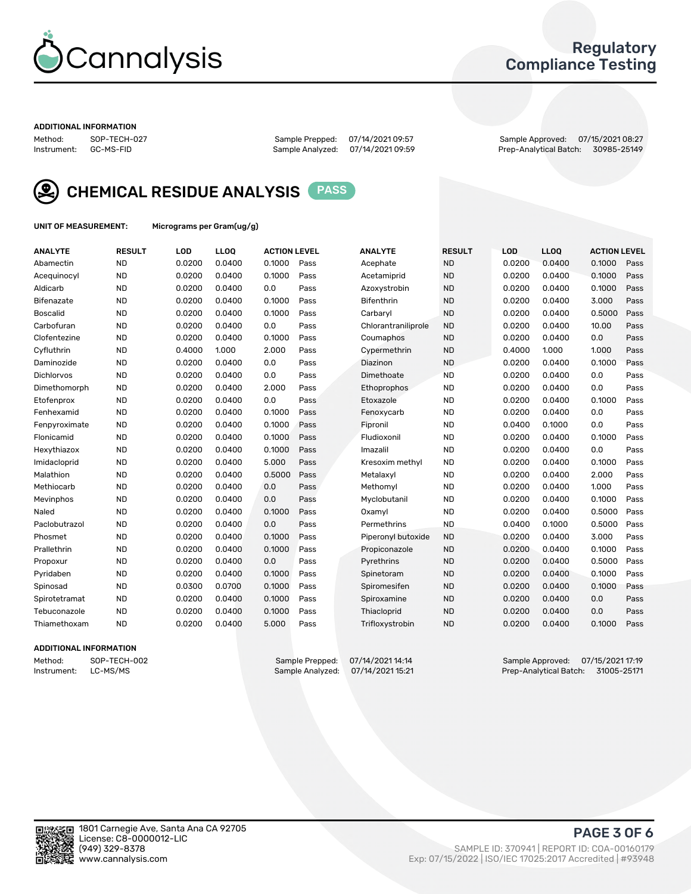

## Regulatory Compliance Testing

#### ADDITIONAL INFORMATION

Method: SOP-TECH-027 Sample Prepped: 07/14/2021 09:57 Sample Approved: 07/15/2021 08:27 Prep-Analytical Batch: 30985-25149



CHEMICAL RESIDUE ANALYSIS PASS

UNIT OF MEASUREMENT: Micrograms per Gram(ug/g)

| <b>ANALYTE</b>  | <b>RESULT</b> | LOD    | LLOQ   | <b>ACTION LEVEL</b> |      | <b>ANALYTE</b>      | <b>RESULT</b> | LOD    | <b>LLOQ</b> | <b>ACTION LEVEL</b> |      |
|-----------------|---------------|--------|--------|---------------------|------|---------------------|---------------|--------|-------------|---------------------|------|
| Abamectin       | <b>ND</b>     | 0.0200 | 0.0400 | 0.1000              | Pass | Acephate            | <b>ND</b>     | 0.0200 | 0.0400      | 0.1000              | Pass |
| Acequinocyl     | <b>ND</b>     | 0.0200 | 0.0400 | 0.1000              | Pass | Acetamiprid         | <b>ND</b>     | 0.0200 | 0.0400      | 0.1000              | Pass |
| Aldicarb        | <b>ND</b>     | 0.0200 | 0.0400 | 0.0                 | Pass | Azoxystrobin        | <b>ND</b>     | 0.0200 | 0.0400      | 0.1000              | Pass |
| Bifenazate      | <b>ND</b>     | 0.0200 | 0.0400 | 0.1000              | Pass | Bifenthrin          | <b>ND</b>     | 0.0200 | 0.0400      | 3.000               | Pass |
| <b>Boscalid</b> | <b>ND</b>     | 0.0200 | 0.0400 | 0.1000              | Pass | Carbaryl            | <b>ND</b>     | 0.0200 | 0.0400      | 0.5000              | Pass |
| Carbofuran      | <b>ND</b>     | 0.0200 | 0.0400 | 0.0                 | Pass | Chlorantraniliprole | <b>ND</b>     | 0.0200 | 0.0400      | 10.00               | Pass |
| Clofentezine    | <b>ND</b>     | 0.0200 | 0.0400 | 0.1000              | Pass | Coumaphos           | <b>ND</b>     | 0.0200 | 0.0400      | 0.0                 | Pass |
| Cyfluthrin      | <b>ND</b>     | 0.4000 | 1.000  | 2.000               | Pass | Cypermethrin        | <b>ND</b>     | 0.4000 | 1.000       | 1.000               | Pass |
| Daminozide      | <b>ND</b>     | 0.0200 | 0.0400 | 0.0                 | Pass | Diazinon            | <b>ND</b>     | 0.0200 | 0.0400      | 0.1000              | Pass |
| Dichlorvos      | <b>ND</b>     | 0.0200 | 0.0400 | 0.0                 | Pass | Dimethoate          | <b>ND</b>     | 0.0200 | 0.0400      | 0.0                 | Pass |
| Dimethomorph    | <b>ND</b>     | 0.0200 | 0.0400 | 2.000               | Pass | <b>Ethoprophos</b>  | <b>ND</b>     | 0.0200 | 0.0400      | 0.0                 | Pass |
| Etofenprox      | <b>ND</b>     | 0.0200 | 0.0400 | 0.0                 | Pass | Etoxazole           | <b>ND</b>     | 0.0200 | 0.0400      | 0.1000              | Pass |
| Fenhexamid      | <b>ND</b>     | 0.0200 | 0.0400 | 0.1000              | Pass | Fenoxycarb          | <b>ND</b>     | 0.0200 | 0.0400      | 0.0                 | Pass |
| Fenpyroximate   | <b>ND</b>     | 0.0200 | 0.0400 | 0.1000              | Pass | Fipronil            | <b>ND</b>     | 0.0400 | 0.1000      | 0.0                 | Pass |
| Flonicamid      | <b>ND</b>     | 0.0200 | 0.0400 | 0.1000              | Pass | Fludioxonil         | <b>ND</b>     | 0.0200 | 0.0400      | 0.1000              | Pass |
| Hexythiazox     | <b>ND</b>     | 0.0200 | 0.0400 | 0.1000              | Pass | Imazalil            | <b>ND</b>     | 0.0200 | 0.0400      | 0.0                 | Pass |
| Imidacloprid    | <b>ND</b>     | 0.0200 | 0.0400 | 5.000               | Pass | Kresoxim methyl     | <b>ND</b>     | 0.0200 | 0.0400      | 0.1000              | Pass |
| Malathion       | <b>ND</b>     | 0.0200 | 0.0400 | 0.5000              | Pass | Metalaxyl           | <b>ND</b>     | 0.0200 | 0.0400      | 2.000               | Pass |
| Methiocarb      | <b>ND</b>     | 0.0200 | 0.0400 | 0.0                 | Pass | Methomyl            | <b>ND</b>     | 0.0200 | 0.0400      | 1.000               | Pass |
| Mevinphos       | <b>ND</b>     | 0.0200 | 0.0400 | 0.0                 | Pass | Myclobutanil        | <b>ND</b>     | 0.0200 | 0.0400      | 0.1000              | Pass |
| Naled           | <b>ND</b>     | 0.0200 | 0.0400 | 0.1000              | Pass | Oxamyl              | <b>ND</b>     | 0.0200 | 0.0400      | 0.5000              | Pass |
| Paclobutrazol   | <b>ND</b>     | 0.0200 | 0.0400 | 0.0                 | Pass | Permethrins         | <b>ND</b>     | 0.0400 | 0.1000      | 0.5000              | Pass |
| Phosmet         | <b>ND</b>     | 0.0200 | 0.0400 | 0.1000              | Pass | Piperonyl butoxide  | <b>ND</b>     | 0.0200 | 0.0400      | 3.000               | Pass |
| Prallethrin     | <b>ND</b>     | 0.0200 | 0.0400 | 0.1000              | Pass | Propiconazole       | <b>ND</b>     | 0.0200 | 0.0400      | 0.1000              | Pass |
| Propoxur        | <b>ND</b>     | 0.0200 | 0.0400 | 0.0                 | Pass | Pyrethrins          | <b>ND</b>     | 0.0200 | 0.0400      | 0.5000              | Pass |
| Pyridaben       | <b>ND</b>     | 0.0200 | 0.0400 | 0.1000              | Pass | Spinetoram          | <b>ND</b>     | 0.0200 | 0.0400      | 0.1000              | Pass |
| Spinosad        | <b>ND</b>     | 0.0300 | 0.0700 | 0.1000              | Pass | Spiromesifen        | <b>ND</b>     | 0.0200 | 0.0400      | 0.1000              | Pass |
| Spirotetramat   | <b>ND</b>     | 0.0200 | 0.0400 | 0.1000              | Pass | Spiroxamine         | <b>ND</b>     | 0.0200 | 0.0400      | 0.0                 | Pass |
| Tebuconazole    | <b>ND</b>     | 0.0200 | 0.0400 | 0.1000              | Pass | Thiacloprid         | <b>ND</b>     | 0.0200 | 0.0400      | 0.0                 | Pass |
| Thiamethoxam    | <b>ND</b>     | 0.0200 | 0.0400 | 5.000               | Pass | Trifloxystrobin     | <b>ND</b>     | 0.0200 | 0.0400      | 0.1000              | Pass |
|                 |               |        |        |                     |      |                     |               |        |             |                     |      |

## ADDITIONAL INFORMATION

Method: SOP-TECH-002 Sample Prepped: 07/14/2021 14:14 Sample Approved: 07/15/2021 17:19<br>Instrument: LC-MS/MS Sample Analyzed: 07/14/2021 15:21 Prep-Analytical Batch: 31005-25171 Prep-Analytical Batch: 31005-25171

PAGE 3 OF 6

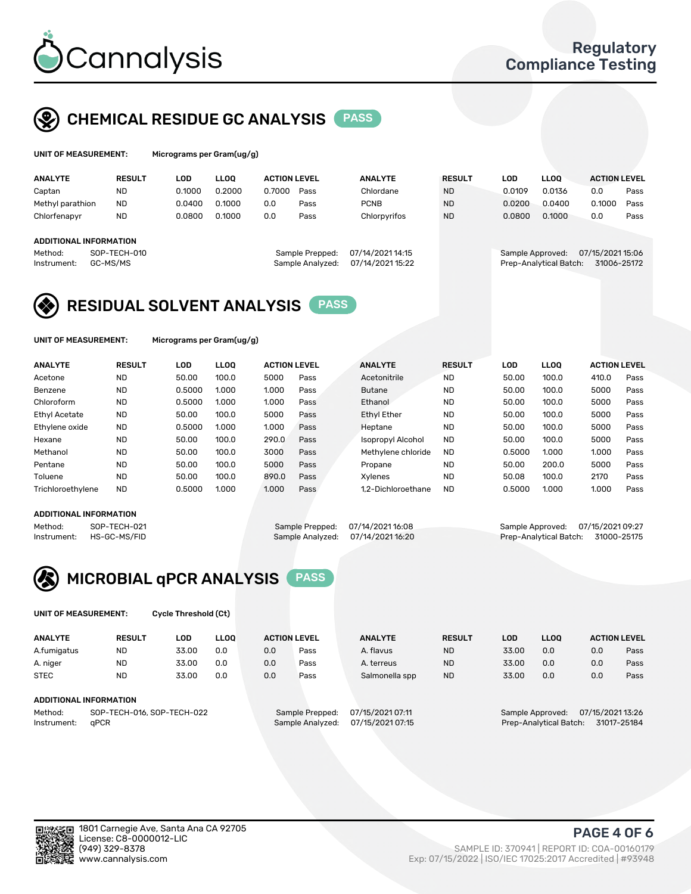

# CHEMICAL RESIDUE GC ANALYSIS PASS

| UNIT OF MEASUREMENT: | Microgr |
|----------------------|---------|
|----------------------|---------|

rams per Gram(ug/g)

| <b>ANALYTE</b>                                          | <b>RESULT</b>            | LOD    | <b>LLOO</b> | <b>ACTION LEVEL</b> |                                     | <b>ANALYTE</b>                       | <b>RESULT</b> | LOD              | <b>LLOO</b>            | <b>ACTION LEVEL</b>             |      |
|---------------------------------------------------------|--------------------------|--------|-------------|---------------------|-------------------------------------|--------------------------------------|---------------|------------------|------------------------|---------------------------------|------|
| Captan                                                  | <b>ND</b>                | 0.1000 | 0.2000      | 0.7000              | Pass                                | Chlordane                            | <b>ND</b>     | 0.0109           | 0.0136                 | 0.0                             | Pass |
| Methyl parathion                                        | <b>ND</b>                | 0.0400 | 0.1000      | 0.0                 | Pass                                | <b>PCNB</b>                          | <b>ND</b>     | 0.0200           | 0.0400                 | 0.1000                          | Pass |
| Chlorfenapyr                                            | <b>ND</b>                | 0.0800 | 0.1000      | 0.0                 | Pass                                | Chlorpyrifos                         | <b>ND</b>     | 0.0800           | 0.1000                 | 0.0                             | Pass |
| <b>ADDITIONAL INFORMATION</b><br>Method:<br>Instrument: | SOP-TECH-010<br>GC-MS/MS |        |             |                     | Sample Prepped:<br>Sample Analyzed: | 07/14/2021 14:15<br>07/14/2021 15:22 |               | Sample Approved: | Prep-Analytical Batch: | 07/15/2021 15:06<br>31006-25172 |      |

## RESIDUAL SOLVENT ANALYSIS PASS

UNIT OF MEASUREMENT: Micrograms per Gram(ug/g)

| <b>ANALYTE</b>    | <b>RESULT</b> | LOD    | <b>LLOO</b> | <b>ACTION LEVEL</b> |      | <b>ANALYTE</b>           | <b>RESULT</b> | LOD    | LLOO  | <b>ACTION LEVEL</b> |      |
|-------------------|---------------|--------|-------------|---------------------|------|--------------------------|---------------|--------|-------|---------------------|------|
| Acetone           | <b>ND</b>     | 50.00  | 100.0       | 5000                | Pass | Acetonitrile             | <b>ND</b>     | 50.00  | 100.0 | 410.0               | Pass |
| Benzene           | <b>ND</b>     | 0.5000 | 1.000       | 1.000               | Pass | <b>Butane</b>            | <b>ND</b>     | 50.00  | 100.0 | 5000                | Pass |
| Chloroform        | <b>ND</b>     | 0.5000 | 1.000       | 1.000               | Pass | Ethanol                  | <b>ND</b>     | 50.00  | 100.0 | 5000                | Pass |
| Ethyl Acetate     | <b>ND</b>     | 50.00  | 100.0       | 5000                | Pass | <b>Ethyl Ether</b>       | <b>ND</b>     | 50.00  | 100.0 | 5000                | Pass |
| Ethylene oxide    | <b>ND</b>     | 0.5000 | 1.000       | 1.000               | Pass | Heptane                  | <b>ND</b>     | 50.00  | 100.0 | 5000                | Pass |
| Hexane            | <b>ND</b>     | 50.00  | 100.0       | 290.0               | Pass | <b>Isopropyl Alcohol</b> | <b>ND</b>     | 50.00  | 100.0 | 5000                | Pass |
| Methanol          | <b>ND</b>     | 50.00  | 100.0       | 3000                | Pass | Methylene chloride       | <b>ND</b>     | 0.5000 | 1.000 | 1.000               | Pass |
| Pentane           | <b>ND</b>     | 50.00  | 100.0       | 5000                | Pass | Propane                  | <b>ND</b>     | 50.00  | 200.0 | 5000                | Pass |
| Toluene           | <b>ND</b>     | 50.00  | 100.0       | 890.0               | Pass | Xvlenes                  | <b>ND</b>     | 50.08  | 100.0 | 2170                | Pass |
| Trichloroethylene | <b>ND</b>     | 0.5000 | 1.000       | 1.000               | Pass | 1.2-Dichloroethane       | <b>ND</b>     | 0.5000 | 1.000 | 1.000               | Pass |

## ADDITIONAL INFORMATION

Method: SOP-TECH-021 Sample Prepped: 07/14/2021 16:08 Sample Approved: 07/15/2021 09:27<br>Sample Analyzed: 07/14/2021 16:20 Prep-Analytical Batch: 31000-25175 Prep-Analytical Batch: 31000-25175



UNIT OF MEASUREMENT: Cycle Threshold (Ct)

| <b>ANALYTE</b>                        | <b>RESULT</b>                 | LOD   | <b>LLOO</b> |                  | <b>ACTION LEVEL</b> | <b>ANALYTE</b> | <b>RESULT</b> | LOD                                  | <b>LLOO</b> |             | <b>ACTION LEVEL</b> |
|---------------------------------------|-------------------------------|-------|-------------|------------------|---------------------|----------------|---------------|--------------------------------------|-------------|-------------|---------------------|
| A.fumigatus                           | <b>ND</b>                     | 33.00 | 0.0         | 0.0              | Pass                | A. flavus      | <b>ND</b>     | 33.00                                | 0.0         | 0.0         | Pass                |
| A. niger                              | <b>ND</b>                     | 33.00 | 0.0         | 0.0              | Pass                | A. terreus     | <b>ND</b>     | 33.00                                | 0.0         | 0.0         | Pass                |
| <b>STEC</b>                           | <b>ND</b>                     | 33.00 | 0.0         | 0.0              | Pass                | Salmonella spp | <b>ND</b>     | 33.00                                | 0.0         | 0.0         | Pass                |
|                                       | <b>ADDITIONAL INFORMATION</b> |       |             |                  |                     |                |               |                                      |             |             |                     |
| SOP-TECH-016, SOP-TECH-022<br>Method: |                               |       |             | Sample Prepped:  | 07/15/2021 07:11    |                |               | 07/15/2021 13:26<br>Sample Approved: |             |             |                     |
| aPCR<br>Instrument:                   |                               |       |             | Sample Analyzed: | 07/15/2021 07:15    |                |               | Prep-Analytical Batch:               |             | 31017-25184 |                     |

(949) 329-8378 SAMPLE ID: 370941 | REPORT ID: COA-00160179 Exp: 07/15/2022 | ISO/IEC 17025:2017 Accredited | #93948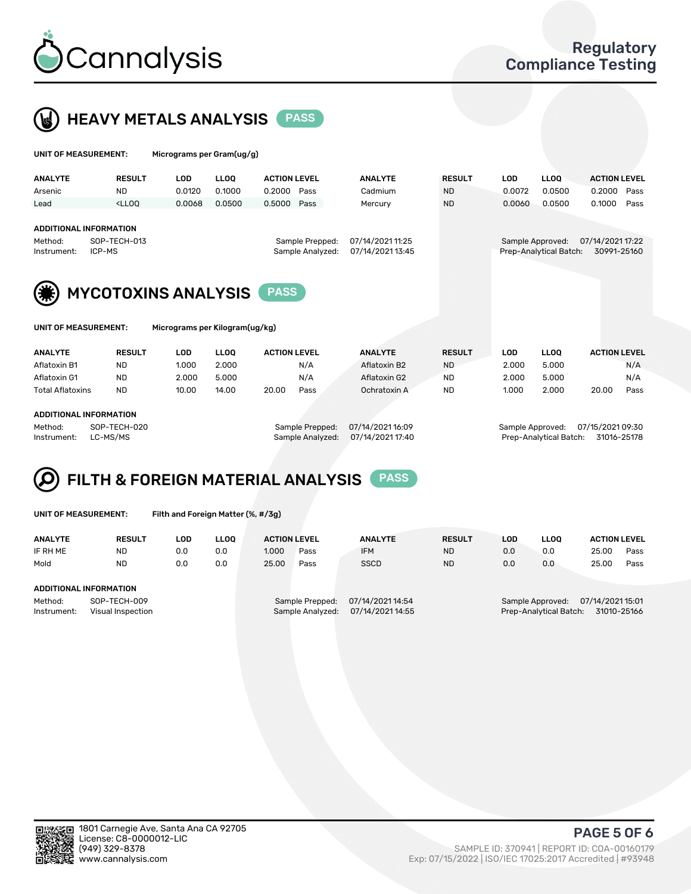



| UNIT OF MEASUREMENT:                      |               | Micrograms per Gram(ug/g)      |                                     |                     |  |                                      |                                       |            |             |                     |      |
|-------------------------------------------|---------------|--------------------------------|-------------------------------------|---------------------|--|--------------------------------------|---------------------------------------|------------|-------------|---------------------|------|
| <b>ANALYTE</b>                            | <b>RESULT</b> | <b>LOD</b>                     | <b>LLOO</b>                         | <b>ACTION LEVEL</b> |  | <b>ANALYTE</b>                       | <b>RESULT</b>                         | <b>LOD</b> | <b>LLOQ</b> | <b>ACTION LEVEL</b> |      |
| Arsenic                                   | <b>ND</b>     | 0.0120                         | 0.1000                              | 0.2000<br>Pass      |  | Cadmium                              | <b>ND</b>                             | 0.0072     | 0.0500      | 0.2000              | Pass |
| Lead                                      | $<$ LLOO      | 0.0068                         | 0.0500                              | 0.5000<br>Pass      |  | Mercury                              | <b>ND</b>                             | 0.0060     | 0.0500      | 0.1000              | Pass |
| <b>ADDITIONAL INFORMATION</b>             |               |                                |                                     |                     |  |                                      |                                       |            |             |                     |      |
| SOP-TECH-013<br>Method:                   |               |                                | 07/14/2021 11:25<br>Sample Prepped: |                     |  | 07/14/2021 17:22<br>Sample Approved: |                                       |            |             |                     |      |
| ICP-MS<br>Instrument:                     |               |                                |                                     | Sample Analyzed:    |  | 07/14/2021 13:45                     | Prep-Analytical Batch:<br>30991-25160 |            |             |                     |      |
| <b>MYCOTOXINS ANALYSIS</b><br><b>PASS</b> |               |                                |                                     |                     |  |                                      |                                       |            |             |                     |      |
| UNIT OF MEASUREMENT:                      |               | Micrograms per Kilogram(ug/kg) |                                     |                     |  |                                      |                                       |            |             |                     |      |
| <b>ANALYTE</b>                            | <b>RESULT</b> | <b>LOD</b>                     | <b>LLOO</b>                         | <b>ACTION LEVEL</b> |  | <b>ANALYTE</b>                       | <b>RESULT</b>                         | <b>LOD</b> | <b>LLOQ</b> | <b>ACTION LEVEL</b> |      |
| Aflatoxin B1                              | <b>ND</b>     | 1.000                          | 2.000                               | N/A                 |  | Aflatoxin B2                         | <b>ND</b>                             | 2.000      | 5.000       |                     | N/A  |

Aflatoxin G1 ND 2.000 5.000 N/A Aflatoxin G2 ND 2.000 5.000 N/A Total Aflatoxins ND 10.00 14.00 20.00 Pass Ochratoxin A ND 1.000 2.000 20.00 Pass

#### ADDITIONAL INFORMATION

Method: SOP-TECH-020 Sample Prepped: 07/14/2021 16:09 Sample Approved: 07/15/2021 09:30 Instrument: LC-MS/MS Sample Analyzed: 07/14/2021 17:40 Prep-Analytical Batch: 31016-25178



UNIT OF MEASUREMENT: Filth and Foreign Matter (%, #/3g)

| <b>ANALYTE</b>         | <b>RESULT</b>                     | LOD | <b>LLOO</b> | <b>ACTION LEVEL</b> |                                     | <b>ANALYTE</b>                       | <b>RESULT</b> | LOD | <b>LLOO</b>                                | <b>ACTION LEVEL</b>             |      |
|------------------------|-----------------------------------|-----|-------------|---------------------|-------------------------------------|--------------------------------------|---------------|-----|--------------------------------------------|---------------------------------|------|
| IF RH ME               | <b>ND</b>                         | 0.0 | 0.0         | 1.000               | Pass                                | <b>IFM</b>                           | <b>ND</b>     | 0.0 | 0.0                                        | 25.00                           | Pass |
| Mold                   | <b>ND</b>                         | 0.0 | 0.0         | 25.00               | Pass                                | <b>SSCD</b>                          | <b>ND</b>     | 0.0 | 0.0                                        | 25.00                           | Pass |
| ADDITIONAL INFORMATION |                                   |     |             |                     |                                     |                                      |               |     |                                            |                                 |      |
| Method:<br>Instrument: | SOP-TECH-009<br>Visual Inspection |     |             |                     | Sample Prepped:<br>Sample Analyzed: | 07/14/2021 14:54<br>07/14/2021 14:55 |               |     | Sample Approved:<br>Prep-Analytical Batch: | 07/14/2021 15:01<br>31010-25166 |      |



PAGE 5 OF 6